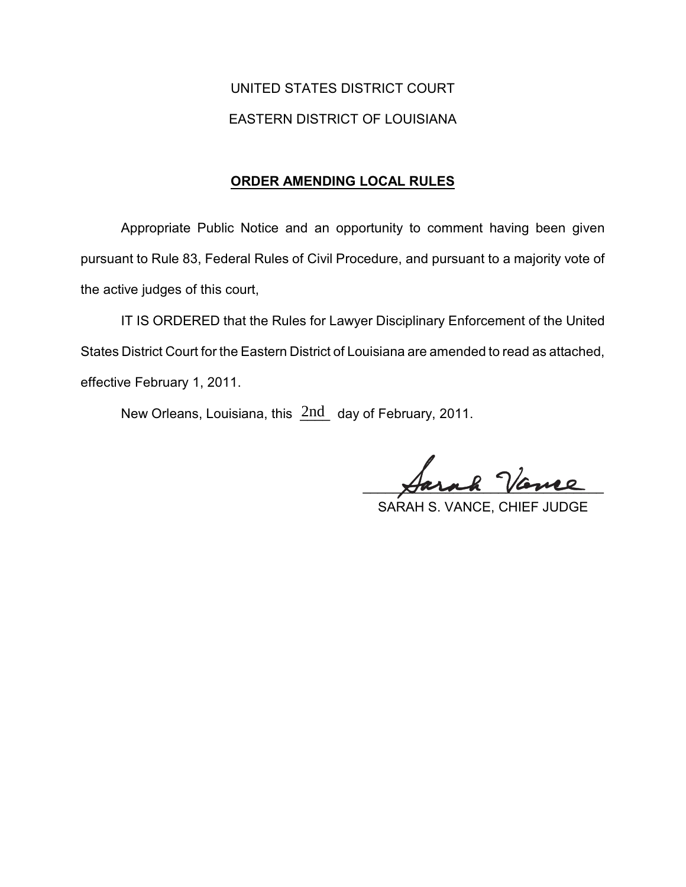# UNITED STATES DISTRICT COURT EASTERN DISTRICT OF LOUISIANA

# **ORDER AMENDING LOCAL RULES**

Appropriate Public Notice and an opportunity to comment having been given pursuant to Rule 83, Federal Rules of Civil Procedure, and pursuant to a majority vote of the active judges of this court,

IT IS ORDERED that the Rules for Lawyer Disciplinary Enforcement of the United States District Court for the Eastern District of Louisiana are amended to read as attached, effective February 1, 2011.

New Orleans, Louisiana, this  $2nd$  day of February, 2011.

\_\_\_\_\_\_\_\_\_\_\_\_\_\_\_\_\_\_\_\_\_\_\_\_\_\_\_\_\_\_\_\_

SARAH S. VANCE, CHIEF JUDGE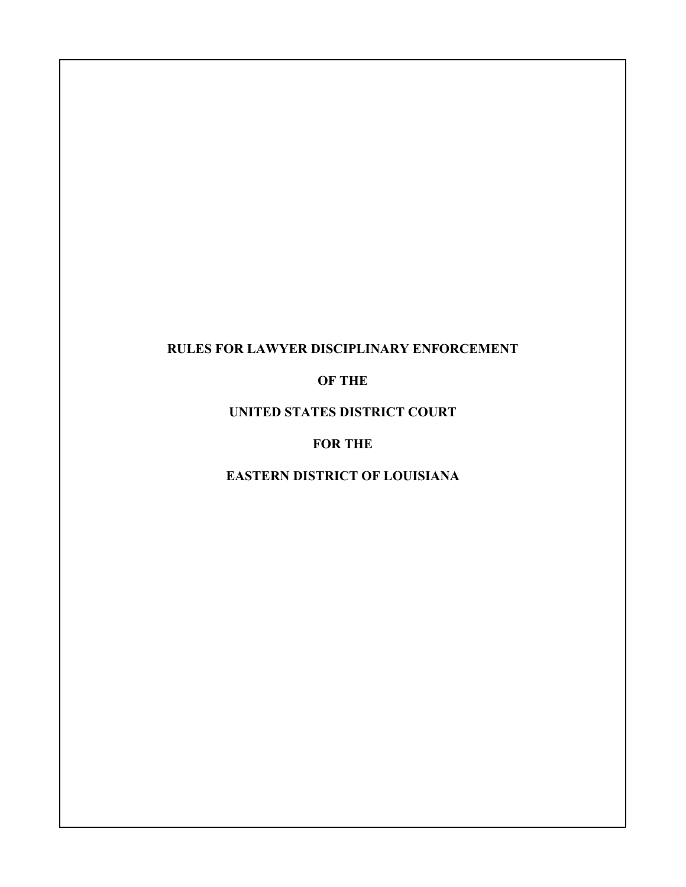# **RULES FOR LAWYER DISCIPLINARY ENFORCEMENT**

#### **OF THE**

**UNITED STATES DISTRICT COURT**

# **FOR THE**

**EASTERN DISTRICT OF LOUISIANA**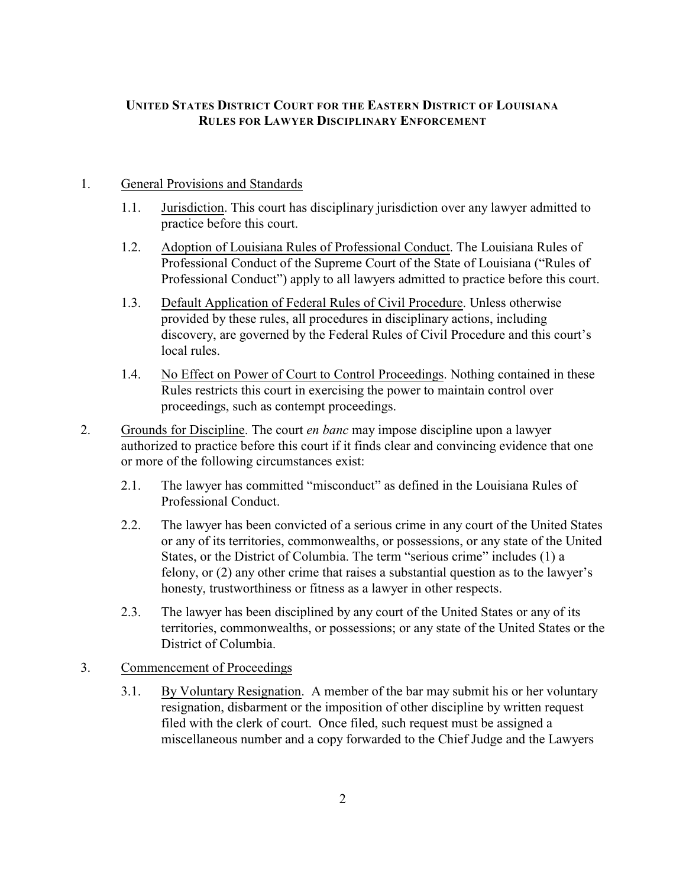## **UNITED STATES DISTRICT COURT FOR THE EASTERN DISTRICT OF LOUISIANA RULES FOR LAWYER DISCIPLINARY ENFORCEMENT**

#### 1. General Provisions and Standards

- 1.1. Jurisdiction. This court has disciplinary jurisdiction over any lawyer admitted to practice before this court.
- 1.2. Adoption of Louisiana Rules of Professional Conduct. The Louisiana Rules of Professional Conduct of the Supreme Court of the State of Louisiana ("Rules of Professional Conduct") apply to all lawyers admitted to practice before this court.
- 1.3. Default Application of Federal Rules of Civil Procedure. Unless otherwise provided by these rules, all procedures in disciplinary actions, including discovery, are governed by the Federal Rules of Civil Procedure and this court's local rules.
- 1.4. No Effect on Power of Court to Control Proceedings. Nothing contained in these Rules restricts this court in exercising the power to maintain control over proceedings, such as contempt proceedings.
- 2. Grounds for Discipline. The court *en banc* may impose discipline upon a lawyer authorized to practice before this court if it finds clear and convincing evidence that one or more of the following circumstances exist:
	- 2.1. The lawyer has committed "misconduct" as defined in the Louisiana Rules of Professional Conduct.
	- 2.2. The lawyer has been convicted of a serious crime in any court of the United States or any of its territories, commonwealths, or possessions, or any state of the United States, or the District of Columbia. The term "serious crime" includes (1) a felony, or (2) any other crime that raises a substantial question as to the lawyer's honesty, trustworthiness or fitness as a lawyer in other respects.
	- 2.3. The lawyer has been disciplined by any court of the United States or any of its territories, commonwealths, or possessions; or any state of the United States or the District of Columbia.

### 3. Commencement of Proceedings

3.1. By Voluntary Resignation. A member of the bar may submit his or her voluntary resignation, disbarment or the imposition of other discipline by written request filed with the clerk of court. Once filed, such request must be assigned a miscellaneous number and a copy forwarded to the Chief Judge and the Lawyers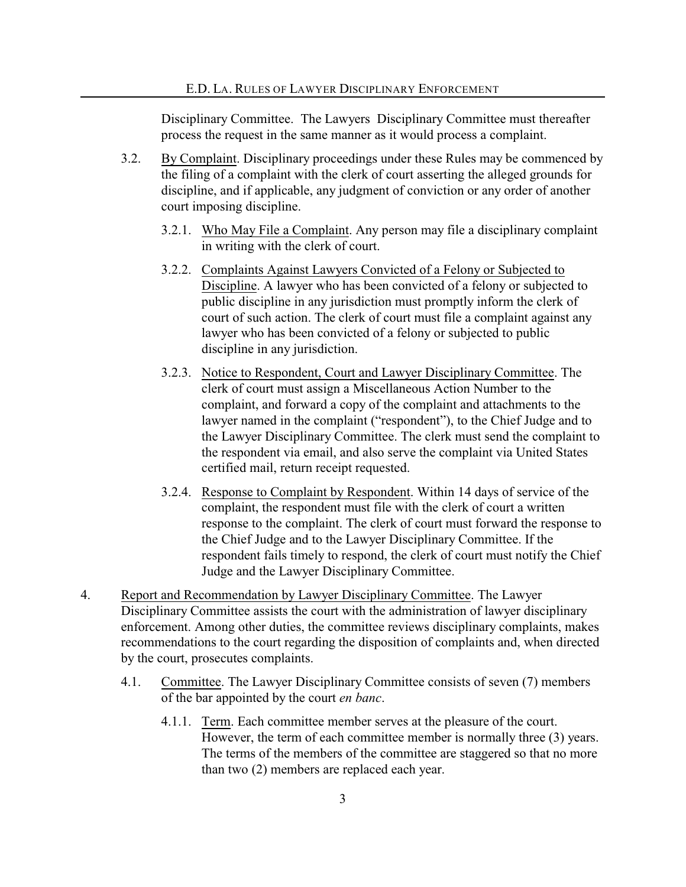Disciplinary Committee. The Lawyers Disciplinary Committee must thereafter process the request in the same manner as it would process a complaint.

- 3.2. By Complaint. Disciplinary proceedings under these Rules may be commenced by the filing of a complaint with the clerk of court asserting the alleged grounds for discipline, and if applicable, any judgment of conviction or any order of another court imposing discipline.
	- 3.2.1. Who May File a Complaint. Any person may file a disciplinary complaint in writing with the clerk of court.
	- 3.2.2. Complaints Against Lawyers Convicted of a Felony or Subjected to Discipline. A lawyer who has been convicted of a felony or subjected to public discipline in any jurisdiction must promptly inform the clerk of court of such action. The clerk of court must file a complaint against any lawyer who has been convicted of a felony or subjected to public discipline in any jurisdiction.
	- 3.2.3. Notice to Respondent, Court and Lawyer Disciplinary Committee. The clerk of court must assign a Miscellaneous Action Number to the complaint, and forward a copy of the complaint and attachments to the lawyer named in the complaint ("respondent"), to the Chief Judge and to the Lawyer Disciplinary Committee. The clerk must send the complaint to the respondent via email, and also serve the complaint via United States certified mail, return receipt requested.
	- 3.2.4. Response to Complaint by Respondent. Within 14 days of service of the complaint, the respondent must file with the clerk of court a written response to the complaint. The clerk of court must forward the response to the Chief Judge and to the Lawyer Disciplinary Committee. If the respondent fails timely to respond, the clerk of court must notify the Chief Judge and the Lawyer Disciplinary Committee.
- 4. Report and Recommendation by Lawyer Disciplinary Committee. The Lawyer Disciplinary Committee assists the court with the administration of lawyer disciplinary enforcement. Among other duties, the committee reviews disciplinary complaints, makes recommendations to the court regarding the disposition of complaints and, when directed by the court, prosecutes complaints.
	- 4.1. Committee. The Lawyer Disciplinary Committee consists of seven (7) members of the bar appointed by the court *en banc*.
		- 4.1.1. Term. Each committee member serves at the pleasure of the court. However, the term of each committee member is normally three (3) years. The terms of the members of the committee are staggered so that no more than two (2) members are replaced each year.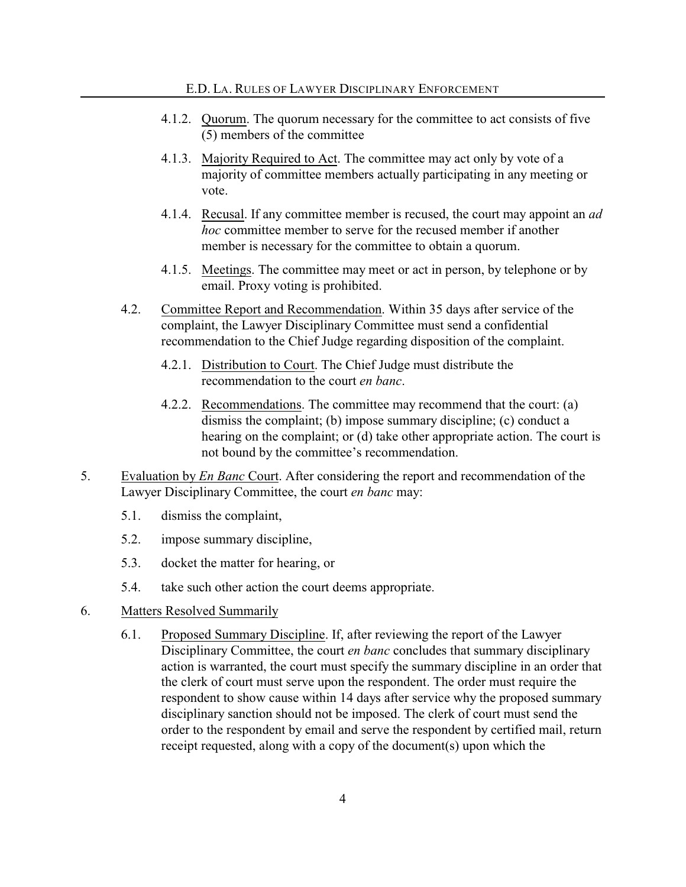- 4.1.2. Quorum. The quorum necessary for the committee to act consists of five (5) members of the committee
- 4.1.3. Majority Required to Act. The committee may act only by vote of a majority of committee members actually participating in any meeting or vote.
- 4.1.4. Recusal. If any committee member is recused, the court may appoint an *ad hoc* committee member to serve for the recused member if another member is necessary for the committee to obtain a quorum.
- 4.1.5. Meetings. The committee may meet or act in person, by telephone or by email. Proxy voting is prohibited.
- 4.2. Committee Report and Recommendation. Within 35 days after service of the complaint, the Lawyer Disciplinary Committee must send a confidential recommendation to the Chief Judge regarding disposition of the complaint.
	- 4.2.1. Distribution to Court. The Chief Judge must distribute the recommendation to the court *en banc*.
	- 4.2.2. Recommendations. The committee may recommend that the court: (a) dismiss the complaint; (b) impose summary discipline; (c) conduct a hearing on the complaint; or (d) take other appropriate action. The court is not bound by the committee's recommendation.
- 5. Evaluation by *En Banc* Court. After considering the report and recommendation of the Lawyer Disciplinary Committee, the court *en banc* may:
	- 5.1. dismiss the complaint,
	- 5.2. impose summary discipline,
	- 5.3. docket the matter for hearing, or
	- 5.4. take such other action the court deems appropriate.
- 6. Matters Resolved Summarily
	- 6.1. Proposed Summary Discipline. If, after reviewing the report of the Lawyer Disciplinary Committee, the court *en banc* concludes that summary disciplinary action is warranted, the court must specify the summary discipline in an order that the clerk of court must serve upon the respondent. The order must require the respondent to show cause within 14 days after service why the proposed summary disciplinary sanction should not be imposed. The clerk of court must send the order to the respondent by email and serve the respondent by certified mail, return receipt requested, along with a copy of the document(s) upon which the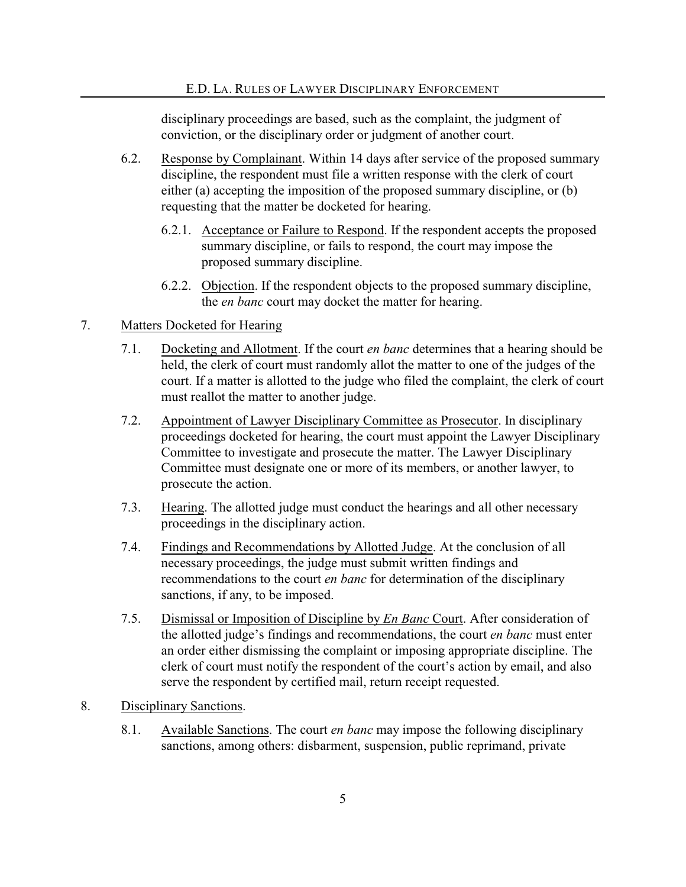disciplinary proceedings are based, such as the complaint, the judgment of conviction, or the disciplinary order or judgment of another court.

- 6.2. Response by Complainant. Within 14 days after service of the proposed summary discipline, the respondent must file a written response with the clerk of court either (a) accepting the imposition of the proposed summary discipline, or (b) requesting that the matter be docketed for hearing.
	- 6.2.1. Acceptance or Failure to Respond. If the respondent accepts the proposed summary discipline, or fails to respond, the court may impose the proposed summary discipline.
	- 6.2.2. Objection. If the respondent objects to the proposed summary discipline, the *en banc* court may docket the matter for hearing.
- 7. Matters Docketed for Hearing
	- 7.1. Docketing and Allotment. If the court *en banc* determines that a hearing should be held, the clerk of court must randomly allot the matter to one of the judges of the court. If a matter is allotted to the judge who filed the complaint, the clerk of court must reallot the matter to another judge.
	- 7.2. Appointment of Lawyer Disciplinary Committee as Prosecutor. In disciplinary proceedings docketed for hearing, the court must appoint the Lawyer Disciplinary Committee to investigate and prosecute the matter. The Lawyer Disciplinary Committee must designate one or more of its members, or another lawyer, to prosecute the action.
	- 7.3. Hearing. The allotted judge must conduct the hearings and all other necessary proceedings in the disciplinary action.
	- 7.4. Findings and Recommendations by Allotted Judge. At the conclusion of all necessary proceedings, the judge must submit written findings and recommendations to the court *en banc* for determination of the disciplinary sanctions, if any, to be imposed.
	- 7.5. Dismissal or Imposition of Discipline by *En Banc* Court. After consideration of the allotted judge's findings and recommendations, the court *en banc* must enter an order either dismissing the complaint or imposing appropriate discipline. The clerk of court must notify the respondent of the court's action by email, and also serve the respondent by certified mail, return receipt requested.
- 8. Disciplinary Sanctions.
	- 8.1. Available Sanctions. The court *en banc* may impose the following disciplinary sanctions, among others: disbarment, suspension, public reprimand, private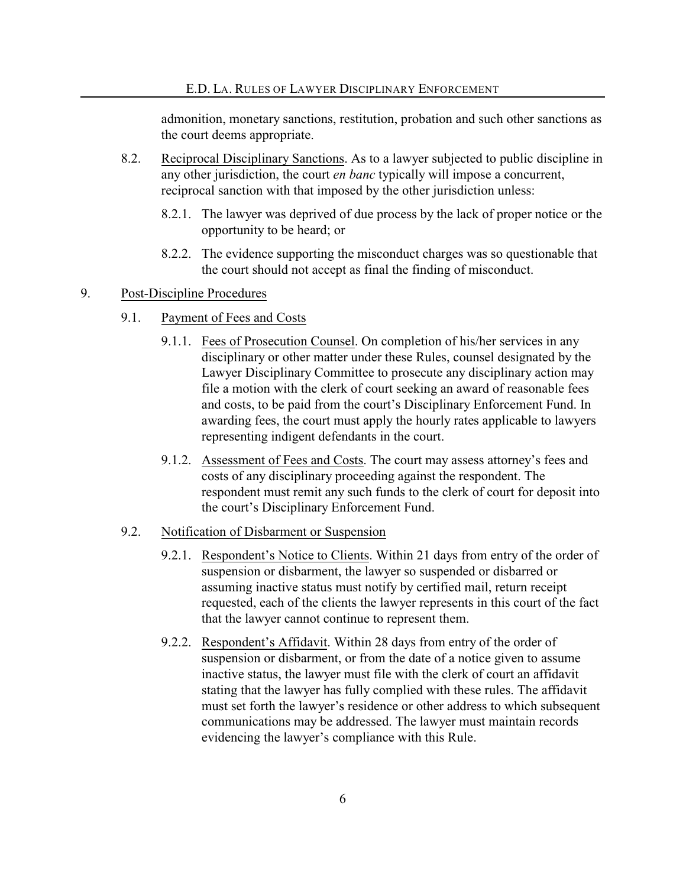admonition, monetary sanctions, restitution, probation and such other sanctions as the court deems appropriate.

- 8.2. Reciprocal Disciplinary Sanctions. As to a lawyer subjected to public discipline in any other jurisdiction, the court *en banc* typically will impose a concurrent, reciprocal sanction with that imposed by the other jurisdiction unless:
	- 8.2.1. The lawyer was deprived of due process by the lack of proper notice or the opportunity to be heard; or
	- 8.2.2. The evidence supporting the misconduct charges was so questionable that the court should not accept as final the finding of misconduct.

#### 9. Post-Discipline Procedures

- 9.1. Payment of Fees and Costs
	- 9.1.1. Fees of Prosecution Counsel. On completion of his/her services in any disciplinary or other matter under these Rules, counsel designated by the Lawyer Disciplinary Committee to prosecute any disciplinary action may file a motion with the clerk of court seeking an award of reasonable fees and costs, to be paid from the court's Disciplinary Enforcement Fund. In awarding fees, the court must apply the hourly rates applicable to lawyers representing indigent defendants in the court.
	- 9.1.2. Assessment of Fees and Costs. The court may assess attorney's fees and costs of any disciplinary proceeding against the respondent. The respondent must remit any such funds to the clerk of court for deposit into the court's Disciplinary Enforcement Fund.

#### 9.2. Notification of Disbarment or Suspension

- 9.2.1. Respondent's Notice to Clients. Within 21 days from entry of the order of suspension or disbarment, the lawyer so suspended or disbarred or assuming inactive status must notify by certified mail, return receipt requested, each of the clients the lawyer represents in this court of the fact that the lawyer cannot continue to represent them.
- 9.2.2. Respondent's Affidavit. Within 28 days from entry of the order of suspension or disbarment, or from the date of a notice given to assume inactive status, the lawyer must file with the clerk of court an affidavit stating that the lawyer has fully complied with these rules. The affidavit must set forth the lawyer's residence or other address to which subsequent communications may be addressed. The lawyer must maintain records evidencing the lawyer's compliance with this Rule.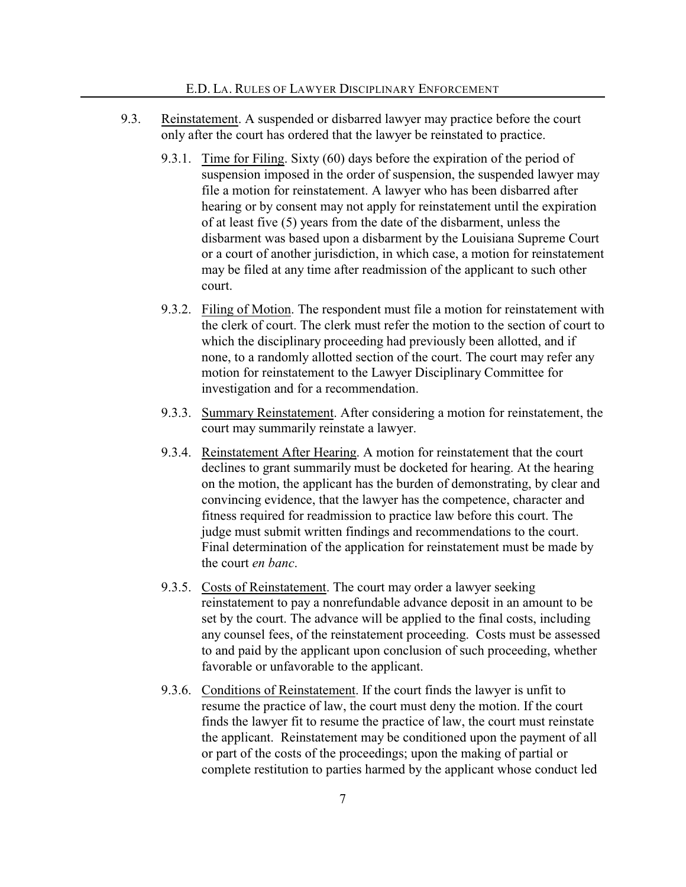- 9.3. Reinstatement. A suspended or disbarred lawyer may practice before the court only after the court has ordered that the lawyer be reinstated to practice.
	- 9.3.1. Time for Filing. Sixty (60) days before the expiration of the period of suspension imposed in the order of suspension, the suspended lawyer may file a motion for reinstatement. A lawyer who has been disbarred after hearing or by consent may not apply for reinstatement until the expiration of at least five (5) years from the date of the disbarment, unless the disbarment was based upon a disbarment by the Louisiana Supreme Court or a court of another jurisdiction, in which case, a motion for reinstatement may be filed at any time after readmission of the applicant to such other court.
	- 9.3.2. Filing of Motion. The respondent must file a motion for reinstatement with the clerk of court. The clerk must refer the motion to the section of court to which the disciplinary proceeding had previously been allotted, and if none, to a randomly allotted section of the court. The court may refer any motion for reinstatement to the Lawyer Disciplinary Committee for investigation and for a recommendation.
	- 9.3.3. Summary Reinstatement. After considering a motion for reinstatement, the court may summarily reinstate a lawyer.
	- 9.3.4. Reinstatement After Hearing. A motion for reinstatement that the court declines to grant summarily must be docketed for hearing. At the hearing on the motion, the applicant has the burden of demonstrating, by clear and convincing evidence, that the lawyer has the competence, character and fitness required for readmission to practice law before this court. The judge must submit written findings and recommendations to the court. Final determination of the application for reinstatement must be made by the court *en banc*.
	- 9.3.5. Costs of Reinstatement. The court may order a lawyer seeking reinstatement to pay a nonrefundable advance deposit in an amount to be set by the court. The advance will be applied to the final costs, including any counsel fees, of the reinstatement proceeding. Costs must be assessed to and paid by the applicant upon conclusion of such proceeding, whether favorable or unfavorable to the applicant.
	- 9.3.6. Conditions of Reinstatement. If the court finds the lawyer is unfit to resume the practice of law, the court must deny the motion. If the court finds the lawyer fit to resume the practice of law, the court must reinstate the applicant. Reinstatement may be conditioned upon the payment of all or part of the costs of the proceedings; upon the making of partial or complete restitution to parties harmed by the applicant whose conduct led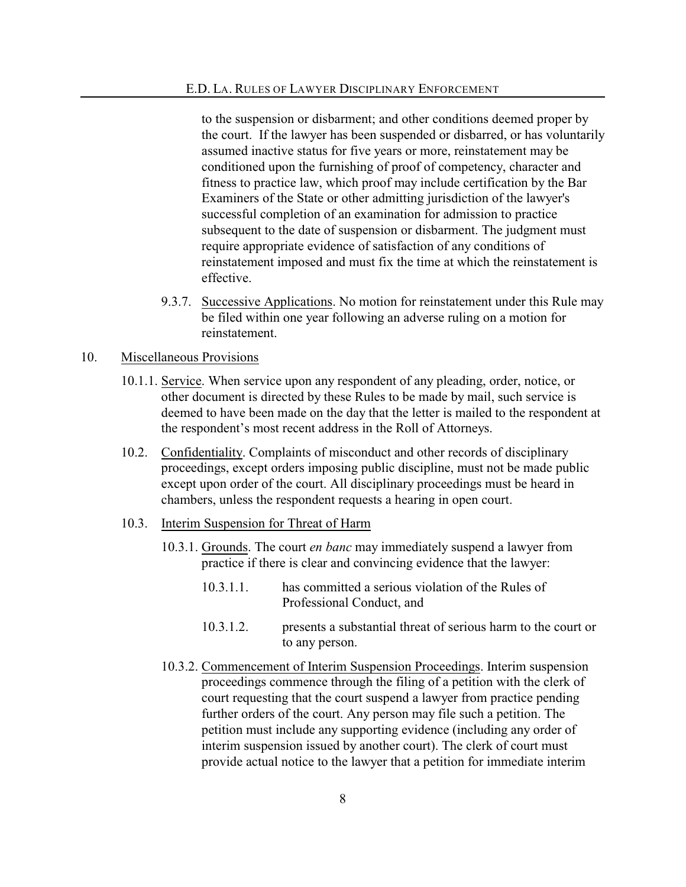to the suspension or disbarment; and other conditions deemed proper by the court. If the lawyer has been suspended or disbarred, or has voluntarily assumed inactive status for five years or more, reinstatement may be conditioned upon the furnishing of proof of competency, character and fitness to practice law, which proof may include certification by the Bar Examiners of the State or other admitting jurisdiction of the lawyer's successful completion of an examination for admission to practice subsequent to the date of suspension or disbarment. The judgment must require appropriate evidence of satisfaction of any conditions of reinstatement imposed and must fix the time at which the reinstatement is effective.

9.3.7. Successive Applications. No motion for reinstatement under this Rule may be filed within one year following an adverse ruling on a motion for reinstatement.

#### 10. Miscellaneous Provisions

- 10.1.1. Service. When service upon any respondent of any pleading, order, notice, or other document is directed by these Rules to be made by mail, such service is deemed to have been made on the day that the letter is mailed to the respondent at the respondent's most recent address in the Roll of Attorneys.
- 10.2. Confidentiality. Complaints of misconduct and other records of disciplinary proceedings, except orders imposing public discipline, must not be made public except upon order of the court. All disciplinary proceedings must be heard in chambers, unless the respondent requests a hearing in open court.
- 10.3. Interim Suspension for Threat of Harm
	- 10.3.1. Grounds. The court *en banc* may immediately suspend a lawyer from practice if there is clear and convincing evidence that the lawyer:
		- 10.3.1.1. has committed a serious violation of the Rules of Professional Conduct, and
		- 10.3.1.2. presents a substantial threat of serious harm to the court or to any person.
	- 10.3.2. Commencement of Interim Suspension Proceedings. Interim suspension proceedings commence through the filing of a petition with the clerk of court requesting that the court suspend a lawyer from practice pending further orders of the court. Any person may file such a petition. The petition must include any supporting evidence (including any order of interim suspension issued by another court). The clerk of court must provide actual notice to the lawyer that a petition for immediate interim